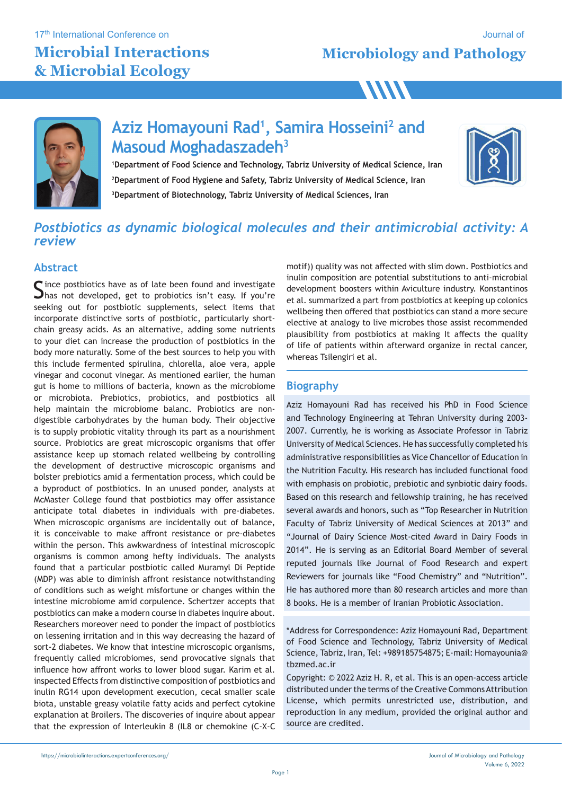17<sup>th</sup> International Conference on

### **Microbial Interactions & Microbial Ecology**

**Microbiology and Pathology** Journal of

**WW** 



### **Aziz Homayouni Rad1 , Samira Hosseini2 and Masoud Moghadaszadeh3**

**1Department of Food Science and Technology, Tabriz University of Medical Science, Iran 2Department of Food Hygiene and Safety, Tabriz University of Medical Science, Iran 3Department of Biotechnology, Tabriz University of Medical Sciences, Iran**



### *Postbiotics as dynamic biological molecules and their antimicrobial activity: A review*

#### **Abstract**

Since postbiotics have as of late been found and investigate<br>Shas not developed, get to probiotics isn't easy. If you're seeking out for postbiotic supplements, select items that incorporate distinctive sorts of postbiotic, particularly shortchain greasy acids. As an alternative, adding some nutrients to your diet can increase the production of postbiotics in the body more naturally. Some of the best sources to help you with this include fermented spirulina, chlorella, aloe vera, apple vinegar and coconut vinegar. As mentioned earlier, the human gut is home to millions of bacteria, known as the microbiome or microbiota. Prebiotics, probiotics, and postbiotics all help maintain the microbiome balanc. Probiotics are nondigestible carbohydrates by the human body. Their objective is to supply probiotic vitality through its part as a nourishment source. Probiotics are great microscopic organisms that offer assistance keep up stomach related wellbeing by controlling the development of destructive microscopic organisms and bolster prebiotics amid a fermentation process, which could be a byproduct of postbiotics. In an unused ponder, analysts at McMaster College found that postbiotics may offer assistance anticipate total diabetes in individuals with pre-diabetes. When microscopic organisms are incidentally out of balance, it is conceivable to make affront resistance or pre-diabetes within the person. This awkwardness of intestinal microscopic organisms is common among hefty individuals. The analysts found that a particular postbiotic called Muramyl Di Peptide (MDP) was able to diminish affront resistance notwithstanding of conditions such as weight misfortune or changes within the intestine microbiome amid corpulence. Schertzer accepts that postbiotics can make a modern course in diabetes inquire about. Researchers moreover need to ponder the impact of postbiotics on lessening irritation and in this way decreasing the hazard of sort-2 diabetes. We know that intestine microscopic organisms, frequently called microbiomes, send provocative signals that influence how affront works to lower blood sugar. Karim et al. inspected Effects from distinctive composition of postbiotics and inulin RG14 upon development execution, cecal smaller scale biota, unstable greasy volatile fatty acids and perfect cytokine explanation at Broilers. The discoveries of inquire about appear that the expression of Interleukin 8 (IL8 or chemokine (C-X-C

motif)) quality was not affected with slim down. Postbiotics and inulin composition are potential substitutions to anti-microbial development boosters within Aviculture industry. Konstantinos et al. summarized a part from postbiotics at keeping up colonics wellbeing then offered that postbiotics can stand a more secure elective at analogy to live microbes those assist recommended plausibility from postbiotics at making It affects the quality of life of patients within afterward organize in rectal cancer, whereas Tsilengiri et al.

### **Biography**

Aziz Homayouni Rad has received his PhD in Food Science and Technology Engineering at Tehran University during 2003- 2007. Currently, he is working as Associate Professor in Tabriz University of Medical Sciences. He has successfully completed his administrative responsibilities as Vice Chancellor of Education in the Nutrition Faculty. His research has included functional food with emphasis on probiotic, prebiotic and synbiotic dairy foods. Based on this research and fellowship training, he has received several awards and honors, such as "Top Researcher in Nutrition Faculty of Tabriz University of Medical Sciences at 2013" and "Journal of Dairy Science Most-cited Award in Dairy Foods in 2014". He is serving as an Editorial Board Member of several reputed journals like Journal of Food Research and expert Reviewers for journals like "Food Chemistry" and "Nutrition". He has authored more than 80 research articles and more than 8 books. He is a member of Iranian Probiotic Association.

\*Address for Correspondence: Aziz Homayouni Rad, Department of Food Science and Technology, Tabriz University of Medical Science, Tabriz, Iran, Tel: +989185754875; E-mail: Homayounia@ tbzmed.ac.ir

Copyright: © 2022 Aziz H. R, et al. This is an open-access article distributed under the terms of the Creative Commons Attribution License, which permits unrestricted use, distribution, and reproduction in any medium, provided the original author and source are credited.